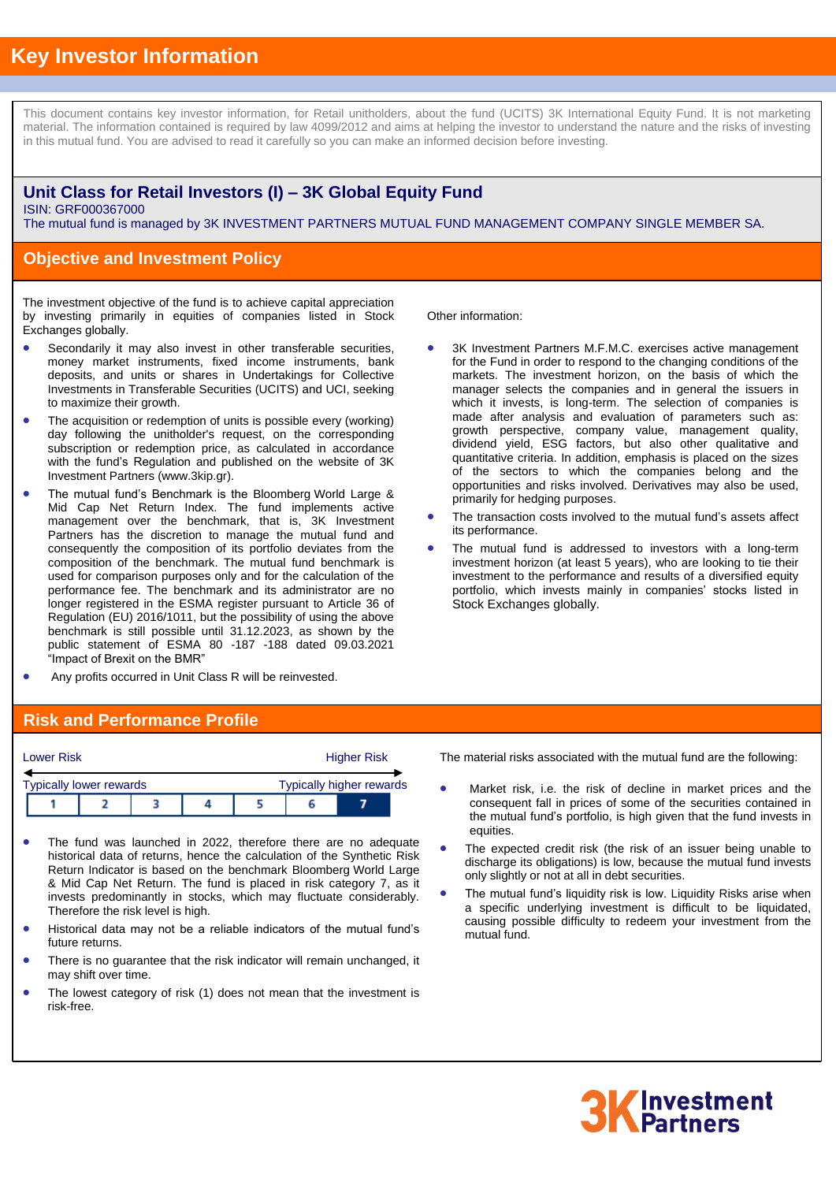# **Key Investor Information**

This document contains key investor information, for Retail unitholders, about the fund (UCITS) 3K International Equity Fund. It is not marketing material. The information contained is required by law 4099/2012 and aims at helping the investor to understand the nature and the risks of investing in this mutual fund. You are advised to read it carefully so you can make an informed decision before investing.

### **Unit Class for Retail Investors (I) – 3K Global Equity Fund** ISIN: GRF000367000

The mutual fund is managed by 3K INVESTMENT PARTNERS MUTUAL FUND MANAGEMENT COMPANY SINGLE MEMBER SA.

## **Objective and Investment Policy**

The investment objective of the fund is to achieve capital appreciation by investing primarily in equities of companies listed in Stock Exchanges globally.

- Secondarily it may also invest in other transferable securities, money market instruments, fixed income instruments, bank deposits, and units or shares in Undertakings for Collective Investments in Transferable Securities (UCITS) and UCI, seeking to maximize their growth.
- The acquisition or redemption of units is possible every (working) day following the unitholder's request, on the corresponding subscription or redemption price, as calculated in accordance with the fund's Regulation and published on the website of 3K Investment Partners (www.3kip.gr).
- The mutual fund's Benchmark is the Bloomberg World Large & Mid Cap Net Return Index. The fund implements active management over the benchmark, that is, 3K Investment Partners has the discretion to manage the mutual fund and consequently the composition of its portfolio deviates from the composition of the benchmark. The mutual fund benchmark is used for comparison purposes only and for the calculation of the performance fee. The benchmark and its administrator are no longer registered in the ESMA register pursuant to Article 36 of Regulation (EU) 2016/1011, but the possibility of using the above benchmark is still possible until 31.12.2023, as shown by the public statement of ESMA 80 -187 -188 dated 09.03.2021 "Impact of Brexit on the BMR"
- Any profits occurred in Unit Class R will be reinvested.

Other information:

- 3K Investment Partners M.F.M.C. exercises active management for the Fund in order to respond to the changing conditions of the markets. The investment horizon, on the basis of which the manager selects the companies and in general the issuers in which it invests, is long-term. The selection of companies is made after analysis and evaluation of parameters such as: growth perspective, company value, management quality, dividend yield, ESG factors, but also other qualitative and quantitative criteria. In addition, emphasis is placed on the sizes of the sectors to which the companies belong and the opportunities and risks involved. Derivatives may also be used, primarily for hedging purposes.
- The transaction costs involved to the mutual fund's assets affect its performance.
- The mutual fund is addressed to investors with a long-term investment horizon (at least 5 years), who are looking to tie their investment to the performance and results of a diversified equity portfolio, which invests mainly in companies' stocks listed in Stock Exchanges globally.

#### **Risk and Performance Profile**

| <b>Lower Risk</b>                                                 |  |  | <b>Higher Risk</b> |  |  |  |  |
|-------------------------------------------------------------------|--|--|--------------------|--|--|--|--|
| <b>Typically higher rewards</b><br><b>Typically lower rewards</b> |  |  |                    |  |  |  |  |
|                                                                   |  |  |                    |  |  |  |  |

- The fund was launched in 2022, therefore there are no adequate historical data of returns, hence the calculation of the Synthetic Risk Return Indicator is based on the benchmark Bloomberg World Large & Mid Cap Net Return. The fund is placed in risk category 7, as it invests predominantly in stocks, which may fluctuate considerably. Therefore the risk level is high.
- Historical data may not be a reliable indicators of the mutual fund's future returns.
- There is no guarantee that the risk indicator will remain unchanged, it may shift over time.
- The lowest category of risk (1) does not mean that the investment is risk-free.

The material risks associated with the mutual fund are the following:

- Market risk, i.e. the risk of decline in market prices and the consequent fall in prices of some of the securities contained in the mutual fund's portfolio, is high given that the fund invests in equities.
- The expected credit risk (the risk of an issuer being unable to discharge its obligations) is low, because the mutual fund invests only slightly or not at all in debt securities.
- The mutual fund's liquidity risk is low. Liquidity Risks arise when a specific underlying investment is difficult to be liquidated, causing possible difficulty to redeem your investment from the mutual fund.